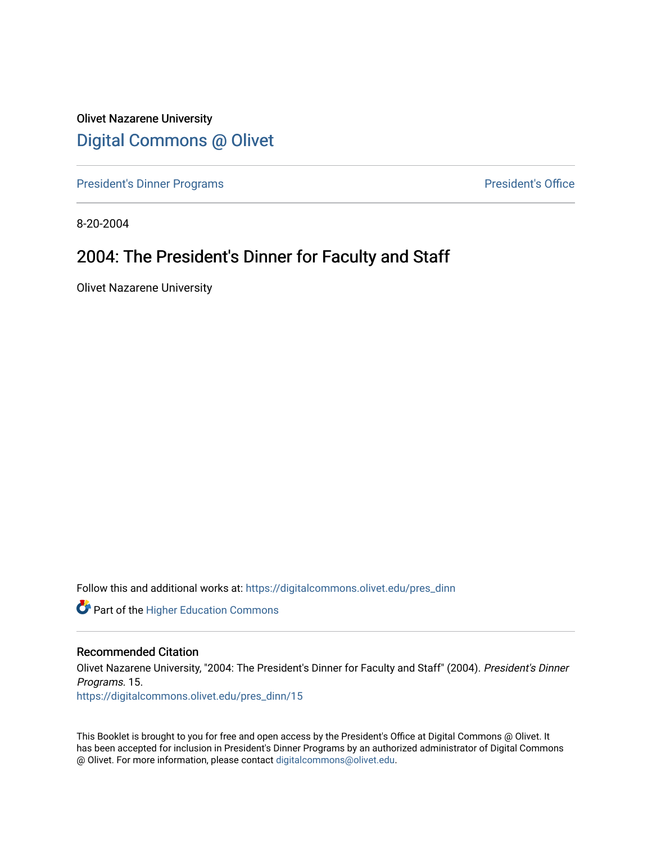Olivet Nazarene University [Digital Commons @ Olivet](https://digitalcommons.olivet.edu/)

[President's Dinner Programs](https://digitalcommons.olivet.edu/pres_dinn) **President's Office** 

8-20-2004

#### 2004: The President's Dinner for Faculty and Staff

Olivet Nazarene University

Follow this and additional works at: [https://digitalcommons.olivet.edu/pres\\_dinn](https://digitalcommons.olivet.edu/pres_dinn?utm_source=digitalcommons.olivet.edu%2Fpres_dinn%2F15&utm_medium=PDF&utm_campaign=PDFCoverPages)

**Part of the Higher Education Commons** 

#### Recommended Citation

Olivet Nazarene University, "2004: The President's Dinner for Faculty and Staff" (2004). President's Dinner Programs. 15.

[https://digitalcommons.olivet.edu/pres\\_dinn/15](https://digitalcommons.olivet.edu/pres_dinn/15?utm_source=digitalcommons.olivet.edu%2Fpres_dinn%2F15&utm_medium=PDF&utm_campaign=PDFCoverPages) 

This Booklet is brought to you for free and open access by the President's Office at Digital Commons @ Olivet. It has been accepted for inclusion in President's Dinner Programs by an authorized administrator of Digital Commons @ Olivet. For more information, please contact [digitalcommons@olivet.edu.](mailto:digitalcommons@olivet.edu)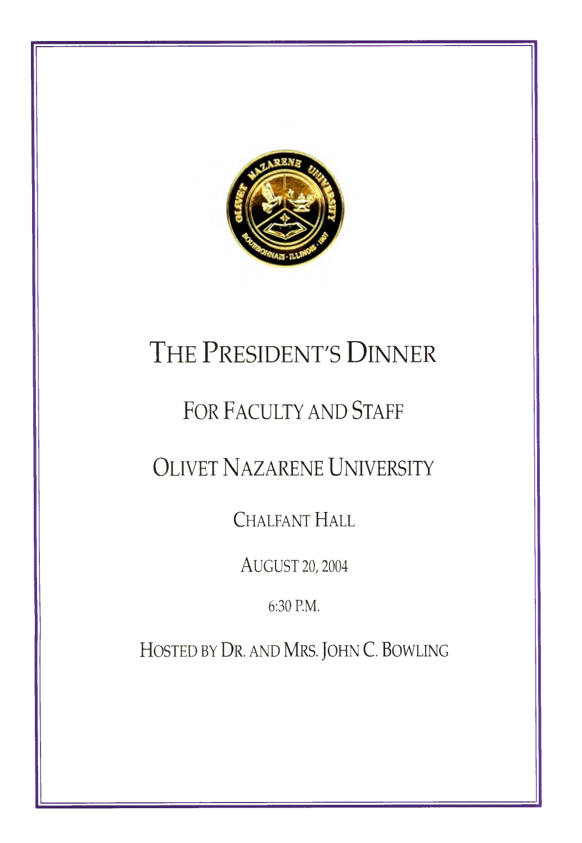

### THE PRESIDENT'S **DINNER**

### FOR FACULTY AND STAFF

### OLIVET NAZARENE UNIVERSITY

**CHALFANT HALL** 

AUGUST 20, 2004

6:30 P.M.

HOSTED BY DR. AND MRS. JOHN C. BOWLING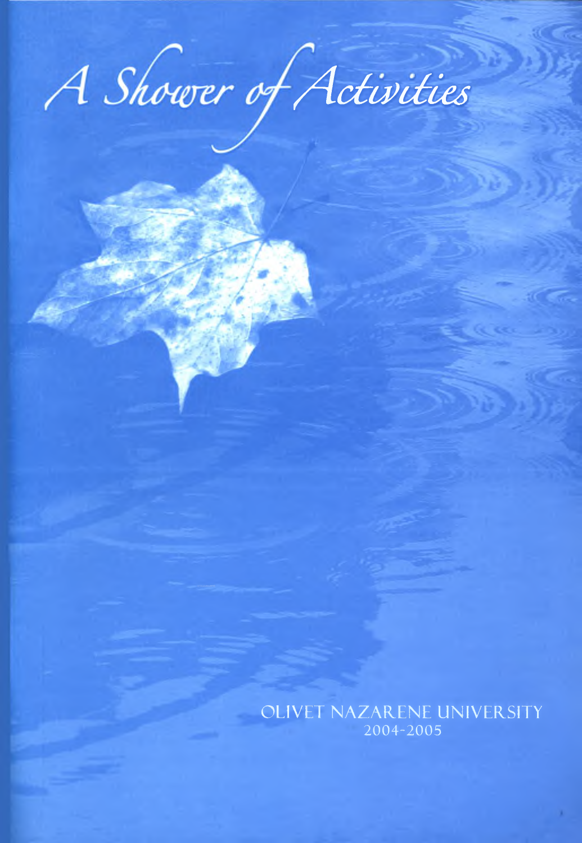# A Shower of Activities

OLIVET NAZARENE UNIVERSITY 2004-2005

œ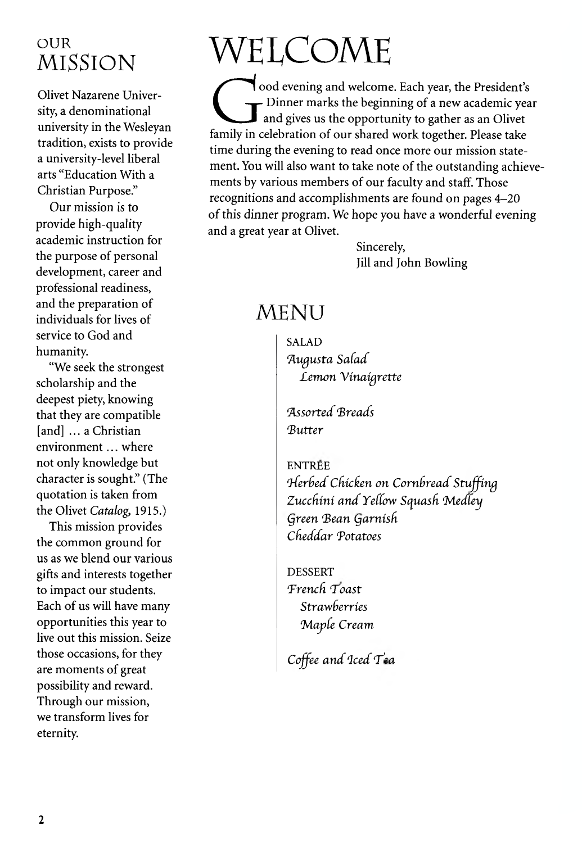### OUR **MISSION**

**Olivet Nazarene Univer**sity, a denominational university in the Wesleyan tradition, exists to provide a university-level liberal arts "Education With a Christian Purpose."

Our mission is to provide high-quality academic instruction for the purpose of personal development, career and professional readiness, and the preparation of individuals for lives of service to God and humanity.

"We seek the strongest scholarship and the deepest piety, knowing that they are compatible [and] ... a Christian environment ... where not only knowledge but character is sought." (The quotation is taken from the Olivet Catalog, 1915.)

This mission provides the common ground for us as we blend our various gifts and interests together to impact our students. Each of us will have many opportunities this year to live out this mission. Seize those occasions, for they are moments of great possibility and reward. Through our mission, we transform lives for eternity.

# WELCOME

ood evening and welcome. Each year, the President's Dinner marks the beginning of a new academic year and gives us the opportunity to gather as an Olivet family in celebration of our shared work together. Please take time during the evening to read once more our mission statement. You will also want to take note of the outstanding achievements by various members of our faculty and staff. Those recognitions and accomplishments are found on pages 4-20 of this dinner program. We hope you have a wonderful evening and a great year at Olivet.

> Sincerely, Jill and John Bowling

### **MENU**

**SALAD** Augusta Salad Lemon Vinaigrette

Assorted Breads **Rutter** 

**ENTRÉE** Herbed Chicken on Cornbread Stuffing Zucchini and Yellow Squash Medley Green Bean Garnish Cheddar Potatoes

**DESSERT** French Toast Strawberries Maple Cream

Coffee and Iced Tea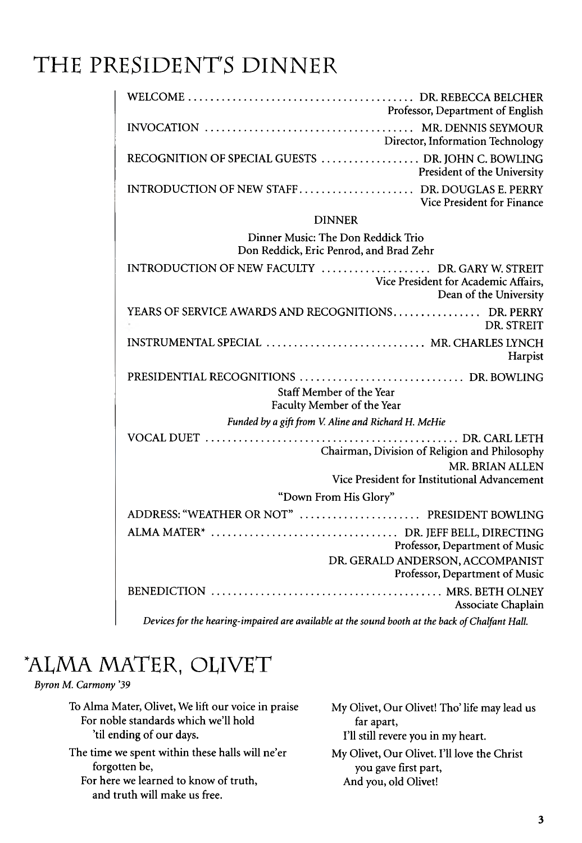### THE PRESIDENT'S DINNER

| Professor, Department of English                                                                                  |  |  |  |  |
|-------------------------------------------------------------------------------------------------------------------|--|--|--|--|
| Director, Information Technology                                                                                  |  |  |  |  |
| RECOGNITION OF SPECIAL GUESTS  DR. JOHN C. BOWLING<br>President of the University                                 |  |  |  |  |
| Vice President for Finance                                                                                        |  |  |  |  |
| <b>DINNER</b>                                                                                                     |  |  |  |  |
| Dinner Music: The Don Reddick Trio<br>Don Reddick, Eric Penrod, and Brad Zehr                                     |  |  |  |  |
| INTRODUCTION OF NEW FACULTY  DR. GARY W. STREIT<br>Vice President for Academic Affairs,<br>Dean of the University |  |  |  |  |
| YEARS OF SERVICE AWARDS AND RECOGNITIONS DR. PERRY<br>DR. STREIT                                                  |  |  |  |  |
| INSTRUMENTAL SPECIAL  MR. CHARLES LYNCH<br>Harpist                                                                |  |  |  |  |
| Staff Member of the Year<br>Faculty Member of the Year                                                            |  |  |  |  |
| Funded by a gift from V. Aline and Richard H. McHie                                                               |  |  |  |  |
| Chairman, Division of Religion and Philosophy<br><b>MR. BRIAN ALLEN</b>                                           |  |  |  |  |
| Vice President for Institutional Advancement                                                                      |  |  |  |  |
| "Down From His Glory"                                                                                             |  |  |  |  |
| ADDRESS: "WEATHER OR NOT"  PRESIDENT BOWLING                                                                      |  |  |  |  |
| Professor, Department of Music                                                                                    |  |  |  |  |
| DR. GERALD ANDERSON, ACCOMPANIST<br>Professor, Department of Music                                                |  |  |  |  |
| Associate Chaplain                                                                                                |  |  |  |  |
|                                                                                                                   |  |  |  |  |

Devices for the hearing-impaired are available at the sound booth at the back of Chalfant Hall.

### "ALMA MATER, OLIVET

*Byron M. Carmony '39*

To Alma Mater, Olivet, We lift our voice in praise For noble standards which we'll hold 'til ending of our days.

The time we spent within these halls will ne'er forgotten be, For here we learned to know of truth, and truth will make us free.

My Olivet, Our Olivet! Tho' life may lead us far apart, I'll still revere you in my heart.

My Olivet, Our Olivet. I'll love the Christ you gave first part, And you, old Olivet!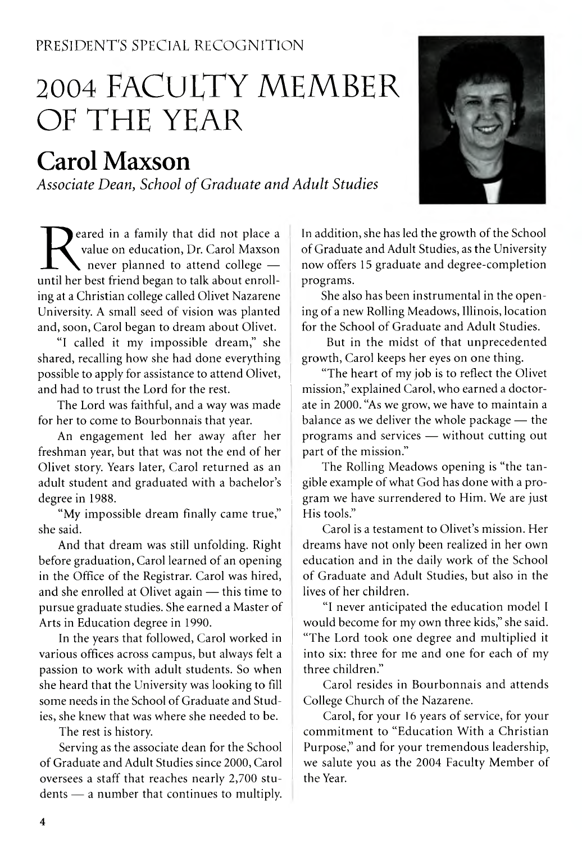#### PRESIDENT'S SPECIAL RECOGNITION

### 2004 FACULTY MEMBER OF THE YEAR

### **Carol Maxson**

Associate Dean, School of Graduate and Adult Studies



Peared in a family that did not place a<br>
value on education, Dr. Carol Maxson<br>
never planned to attend college —<br>
until her best friend began to talk about enrolleared in a family that did not place a value on education, Dr. Carol Maxson rever planned to attend college  $$ ing at a Christian college called Olivet Nazarene University. A small seed of vision was planted and, soon, Carol began to dream about Olivet.

"I called it my impossible dream," she shared, recalling how she had done everything possible to apply for assistance to attend Olivet, and had to trust the Lord for the rest.

The Lord was faithful, and a way was made for her to come to Bourbonnais that year.

An engagement led her away after her freshman year, but that was not the end of her Olivet story. Years later, Carol returned as an adult student and graduated with a bachelor's degree in 1988.

"My impossible dream finally came true," she said.

And that dream was still unfolding. Right before graduation, Carol learned of an opening in the Office of the Registrar. Carol was hired, and she enrolled at Olivet again — this time to pursue graduate studies. She earned a Master of Arts in Education degree in 1990.

In the years that followed, Carol worked in various offices across campus, but always felt a passion to work with adult students. So when she heard that the University was looking to fill some needs in the School of Graduate and Studies, she knew that was where she needed to be.

The rest is history.

Serving as the associate dean for the School of Graduate and Adult Studies since 2000, Carol oversees a staff that reaches nearly 2,700 stu dents — a number that continues to multiply.

In addition, she has led the growth of the School of Graduate and Adult Studies, as the University now offers 15 graduate and degree-completion programs.

She also has been instrumental in the opening of a new Rolling Meadows, Illinois, location for the School of Graduate and Adult Studies.

But in the midst of that unprecedented growth, Carol keeps her eyes on one thing.

"The heart of my job is to reflect the Olivet mission," explained Carol, who earned a doctorate in 2000. "As we grow, we have to maintain a balance as we deliver the whole package — the programs and services — without cutting out part of the mission."

The Rolling Meadows opening is "the tan gible example of what God has done with a program we have surrendered to Him. We are just His tools."

Carol is a testament to Olivet's mission. Her dreams have not only been realized in her own education and in the daily work of the School of Graduate and Adult Studies, but also in the lives of her children.

"1 never anticipated the education model I would become for my own three kids," she said. "The Lord took one degree and multiplied it into six: three for me and one for each of my three children."

Carol resides in Bourbonnais and attends College Church of the Nazarene.

Carol, for your 16 years of service, for your commitment to "Education With a Christian Purpose," and for your tremendous leadership, we salute you as the 2004 Faculty Member of the Year.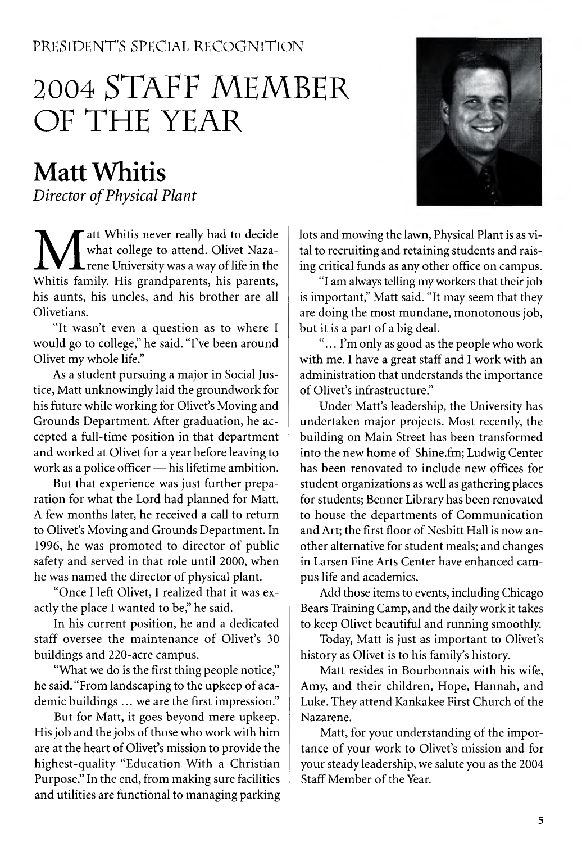#### PRESIDENT'S SPECIAL RECOGNITION

### 2004 STAFF MEMBER OF THE YEAR

### **Matt Whitis**

*Director of Physical Plant* 

**M** att Whitis never really had to decide what college to attend. Olivet Naza-<br>rene University was a way of life in the Whitis family. His grandparents, his parents, att Whitis never really had to decide what college to attend. Olivet Naza-**L** rene University was a way of life in the his aunts, his uncles, and his brother are all Olivetians.

"It wasn't even a question as to where I would go to college," he said. "I've been around Olivet my whole life."

As a student pursuing a major in Social Justice, Matt unknowingly laid the groundwork for his future while working for Olivet's Moving and Grounds Department. After graduation, he accepted a full-time position in that department and worked at Olivet for a year before leaving to work as a police officer - his lifetime ambition.

But that experience was just further preparation for what the Lord had planned for Matt. A few months later, he received a call to return to Olivet's Moving and Grounds Department. In 1996, he was promoted to director of public safety and served in that role until 2000, when he was named the director of physical plant.

"Once I left Olivet, I realized that it was exactly the place I wanted to be," he said.

In his current position, he and a dedicated staff oversee the maintenance of Olivet's 30 buildings and 220-acre campus.

"What we do is the first thing people notice," he said. "From landscaping to the upkeep of academic buildings ... we are the first impression."

But for Matt, it goes beyond mere upkeep. His job and the jobs of those who work with him are at the heart of Olivet's mission to provide the highest-quality "Education With a Christian Purpose." In the end, from making sure facilities and utilities are functional to managing parking

lots and mowing the lawn, Physical Plant is as vital to recruiting and retaining students and raising critical funds as any other office on campus.

"I am always telling my workers that their job is important," Matt said. "It may seem that they are doing the most mundane, monotonous job, but it is a part of a big deal.

"... I'm only as good as the people who work with me. I have a great staff and I work with an administration that understands the importance of Olivet's infrastructure."

Under Matt's leadership, the University has undertaken major projects. Most recently, the building on Main Street has been transformed into the new home of Shine.fm; Ludwig Center has been renovated to include new offices for student organizations as well as gathering places for students; Benner Library has been renovated to house the departments of Communication and Art; the first floor of Nesbitt Hall is now another alternative for student meals; and changes in Larsen Fine Arts Center have enhanced cam pus life and academics.

Add those items to events, including Chicago Bears Training Camp, and the daily work it takes to keep Olivet beautiful and running smoothly.

Today, Matt is just as important to Olivet's history as Olivet is to his family's history.

Matt resides in Bourbonnais with his wife, Amy, and their children, Hope, Hannah, and Luke. They attend Kankakee First Church of the Nazarene.

Matt, for your understanding of the importance of your work to Olivet's mission and for your steady leadership, we salute you as the 2004 Staff Member of the Year.

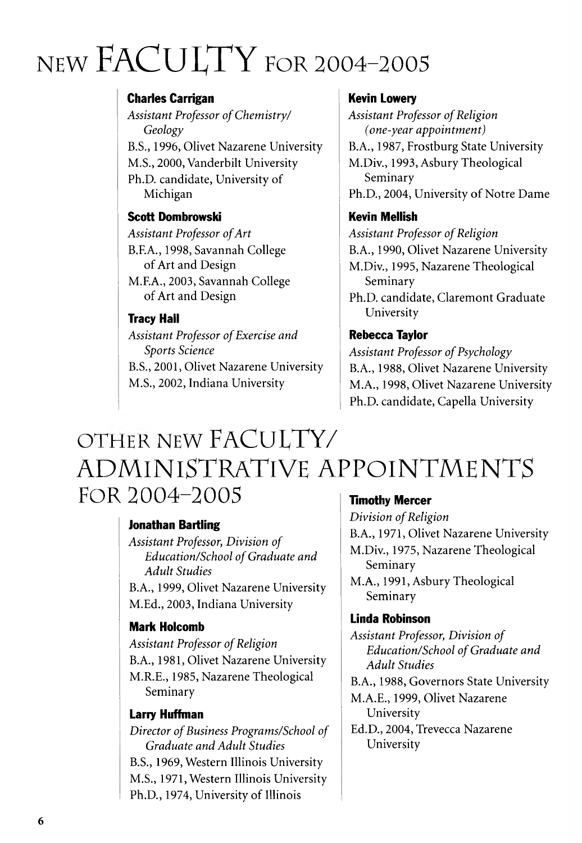# $NEW FACTUITY$  FOR 2004-2005

#### Charles Carrigan

Assistant Professor of Chemistry/ *Geology* B.S., 1996, Olivet Nazarene University M.S., 2000, Vanderbilt University Ph.D. candidate, University of Michigan

#### Scott Dombrowski

**Assistant Professor of Art** B.F.A., 1998, Savannah College of Art and Design M.F.A., 2003, Savannah College

of Art and Design

#### Tracy Hall

**Assistant Professor of Exercise and** *Sports Science* B.S., 2001, Olivet Nazarene University M.S., 2002, Indiana University

#### Kevin Lowery

**Assistant Professor of Religion** *(one-year appointment)* B.A., 1987, Frostburg State University M.Div., 1993, Asbury Theological Seminary Ph.D., 2004, University of Notre Dame

#### Kevin Mellish

**Assistant Professor of Religion** B.A., 1990, Olivet Nazarene University M.Div., 1995, Nazarene Theological Seminary Ph.D. candidate, Claremont Graduate

University

#### Rebecca Taylor

**Assistant Professor of Psychology** B.A., 1988, Olivet Nazarene University M.A., 1998, Olivet Nazarene University Ph.D. candidate, Capella University

### OTHER NEW FACULTY/ ADMINISTRATIVE APPOINTMENTS FOR 2004-2005 **Timothy Mercer**

#### Jonathan Bartling

*Assistant Professor, Division of Education/School of Graduate and Adult Studies* B.A., 1999, Olivet Nazarene University M.Ed., 2003, Indiana University

#### Mark Holcomb

**Assistant Professor of Religion** B.A., 1981, Olivet Nazarene University M.R.E., 1985, Nazarene Theological Seminary

#### Larry Huffman

*Director of Business Programs/School of Graduate and Adult Studies* B.S., 1969, Western Illinois University M.S., 1971, Western Illinois University Ph.D., 1974, University of Illinois

*Division of Religion* B.A., 1971, Olivet Nazarene University M.Div., 1975, Nazarene Theological Seminary M.A., 1991, Asbury Theological

Seminary

#### Linda Robinson

*Assistant Professor, Division of Education/School of Graduate and A dult Studies*

B.A., 1988, Governors State University M.A.E., 1999, Olivet Nazarene University

Ed.D., 2004, Trevecca Nazarene University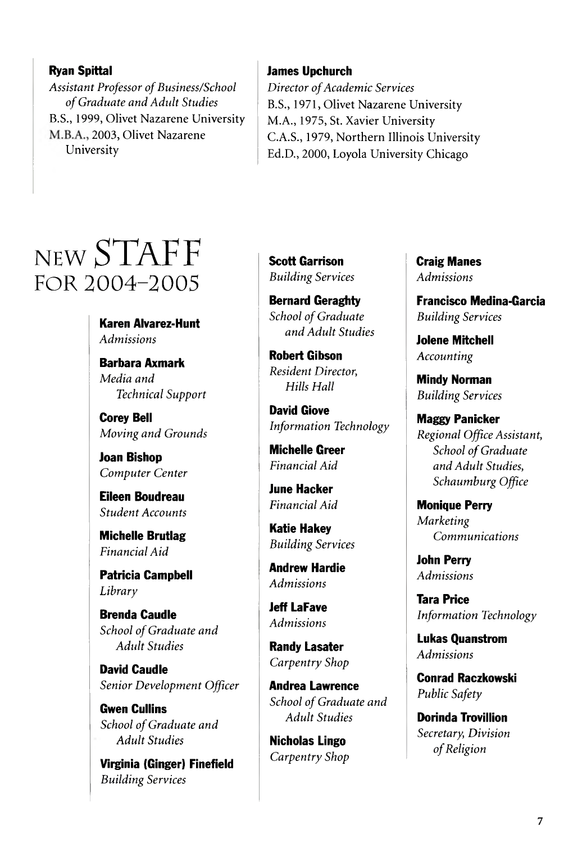#### Ryan Spittal

**Assistant Professor of Business/School** *o f Graduate and Adidt Studies* B.S., 1999, Olivet Nazarene University M.B.A., 2003, Olivet Nazarene University

#### James Upchurch

*Director of Academic Services* B.S., 1971, Olivet Nazarene University M.A., 1975, St. Xavier University C.A.S., 1979, Northern Illinois University Ed.D., 2000, Loyola University Chicago

### NEW STAFF FOR 2004-2005

Karen Alvarez-Hunt *Admissions*

Barbara Axmark *Media and Technical Support*

Corey Bell *M oving and Grounds*

Joan Bishop *Computer Center*

Eileen Boudreau *Student Accounts*

Michelle Brutlag *Financial Aid*

Patricia Campbell *Library*

Brenda Caudle **School of Graduate and** *Adidt Studies*

David Caudle *Senior Development Officer*

Gwen Cullins *School of Graduate and Adult Studies*

Virginia (Ginger) Finefield *Building Services*

Scott Garrison *Building Services*

Bernard Geraghty **School of Graduate** *and Adult Studies*

Robert Gibson *Resident Director, Hills Hall*

David Giove *Information Technology*

Michelle Greer *Financial Aid*

June Hacker *Financial Aid*

Katie Hakey *Building Services*

Andrew Hardie *Admissions*

Jeff LaFave *Admissions*

Randy Lasater *Carpentry Shop*

Andrea Lawrence **School of Graduate and** *Adult Studies*

Nicholas Lingo *Carpentry Shop* Craig Manes *Admissions*

Francisco Medina-Garcia *Building Services*

Jolene Mitchell *Accounting*

Mindy Norman *Building Services*

Maggy Panicker *Regional Office Assistant,* **School of Graduate** *and Adult Studies, Schaumburg Office*

Monique Perry *Marketing Communications*

John Perry *Admissions*

Tara Price *Information Technology*

Lukas Quanstrom *Admissions*

Conrad Raczkowski *Public Safety*

Dorinda Trovillion *Secretary, Division o f Religion*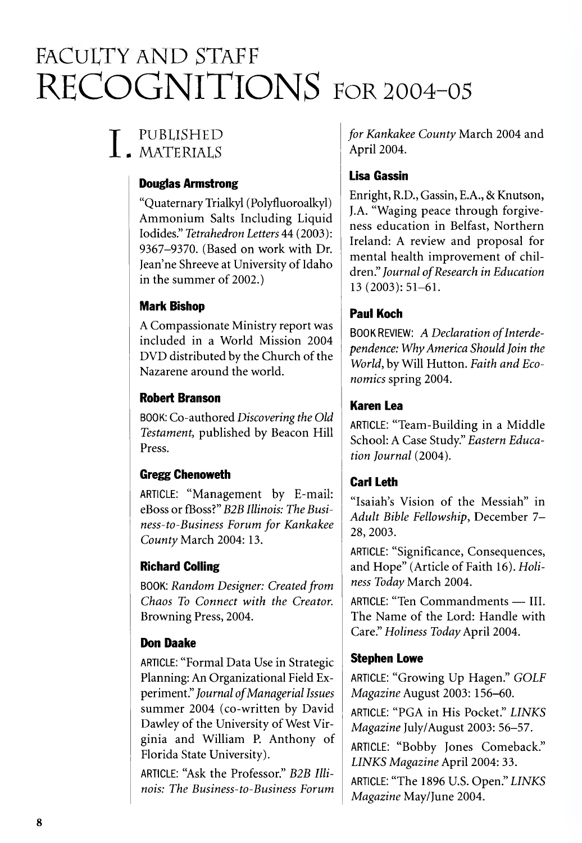### FACULTY AND STAFF RECOGNITIONS FOR 2004-03

#### T PUBLISHED  $\blacksquare$ . MATERIALS

#### Douglas Armstrong

"Q uaternary Trialkyl (Polyfluoroalkyl) Ammonium Salts Including Liquid Iodides." *Tetrahedron Letters* 44 (2003): 9367-9370. (Based on work with Dr. lean'ne Shreeve at University of Idaho in the summer of 2002.)

#### Mark Bishop

A Compassionate Ministry report was included in a World Mission 2004 DVD distributed by the Church of the Nazarene around the world.

#### Robert Branson

BOOK: Co-authored *Discovering the Old Testament,* published by Beacon Hill Press.

#### Gregg Chenoweth

ARTICLE: "Management by E-mail: eBoss or fBoss?" *B2B Illinois: The Business-to-Business Forum for Kankakee County* March 2004: 13.

#### Richard Colling

BOOK: *Random Designer: Created from Chaos To Connect with the Creator.* Browning Press, 2004.

#### Don Daake

ARTICLE: "Formal Data Use in Strategic Planning: An Organizational Field Experiment." *Journal of Managerial Issues* summer 2004 (co-written by David Dawley of the University of West Virginia and William P. Anthony of Florida State University).

ARTICLE: "Ask the Professor." *B2B Illinois: The Business-to-Business Forum* *for Kankakee County March 2004 and* April 2004.

#### Lisa Gassin

Enright, R.D., Gassin, E.A., & Knutson, J.A. "Waging peace through forgiveness education in Belfast, Northern Ireland: A review and proposal for mental health improvement of children." *Journal of Research in Education* 13 (2003): 51-61.

#### Paul Koch

BOOK REVIEW: A Declaration of Interde*pendence: W hy America Should Join the* World, by Will Hutton. Faith and Eco*nomics* spring 2004.

#### Karen Lea

ARTICLE: "Team-Building in a Middle School: A Case Study." *Eastern Education Journal* (2004).

#### Carl Leth

"Isaiah's Vision of the Messiah" in Adult Bible Fellowship, December 7-28,2003.

ARTICLE: "Significance, Consequences, and Hope" (Article of Faith 16). Holiness Today March 2004.

ARTICLE: "Ten Commandments - III. The Name of the Lord: Handle with Care." *Holiness Today* April 2004.

#### Stephen Lowe

ARTICLE: "Growing Up Hagen." *GOLF Magazine* August 2003: 156-60.

ARTICLE: "PGA in His Pocket." *LINKS Magazine* fuly/August 2003: 56-57.

ARTICLE: "Bobby Jones Comeback." *LINKS Magazine* April 2004: 33.

ARTICLE: "The 1896 U.S. Open." LINKS *Magazine* May/June 2004.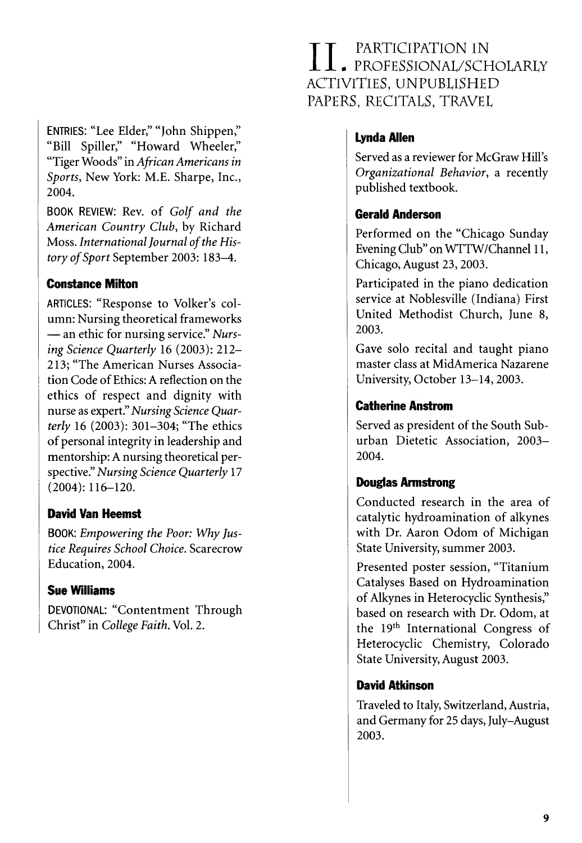ENTRIES: "Lee Elder," "John Shippen," "Bill Spiller," "Howard Wheeler," "Tiger Woods" in African Americans in Sports, New York: M.E. Sharpe, Inc., 2004.

BOOK REVIEW: Rev. of Golf and the American Country Club, by Richard Moss. International Journal of the History of Sport September 2003: 183-4.

#### **Constance Milton**

ARTICLES: "Response to Volker's column: Nursing theoretical frameworks -an ethic for nursing service." Nursing Science Quarterly 16 (2003): 212-213; "The American Nurses Association Code of Ethics: A reflection on the ethics of respect and dignity with nurse as expert." Nursing Science Quarterly 16 (2003): 301-304; "The ethics of personal integrity in leadership and mentorship: A nursing theoretical perspective." Nursing Science Quarterly 17  $(2004): 116 - 120.$ 

#### **David Van Heemst**

BOOK: Empowering the Poor: Why Justice Requires School Choice. Scarecrow Education, 2004.

#### **Sue Williams**

DEVOTIONAL: "Contentment Through Christ" in College Faith. Vol. 2.

#### PARTICIPATION IN II. PROFESSIONAL/SCHOLARLY ACTIVITIES. UNPUBLISHED PAPERS, RECITALS, TRAVEL

#### **Lynda Allen**

Served as a reviewer for McGraw Hill's Organizational Behavior, a recently published textbook.

#### **Gerald Anderson**

Performed on the "Chicago Sunday Evening Club" on WTTW/Channel 11, Chicago, August 23, 2003.

Participated in the piano dedication service at Noblesville (Indiana) First United Methodist Church, June 8, 2003.

Gave solo recital and taught piano master class at MidAmerica Nazarene University, October 13-14, 2003.

#### **Catherine Anstrom**

Served as president of the South Suburban Dietetic Association, 2003-2004.

#### **Douglas Armstrong**

Conducted research in the area of catalytic hydroamination of alkynes with Dr. Aaron Odom of Michigan State University, summer 2003.

Presented poster session, "Titanium Catalyses Based on Hydroamination of Alkynes in Heterocyclic Synthesis," based on research with Dr. Odom, at the 19th International Congress of Heterocyclic Chemistry, Colorado State University, August 2003.

#### **David Atkinson**

Traveled to Italy, Switzerland, Austria, and Germany for 25 days, July-August 2003.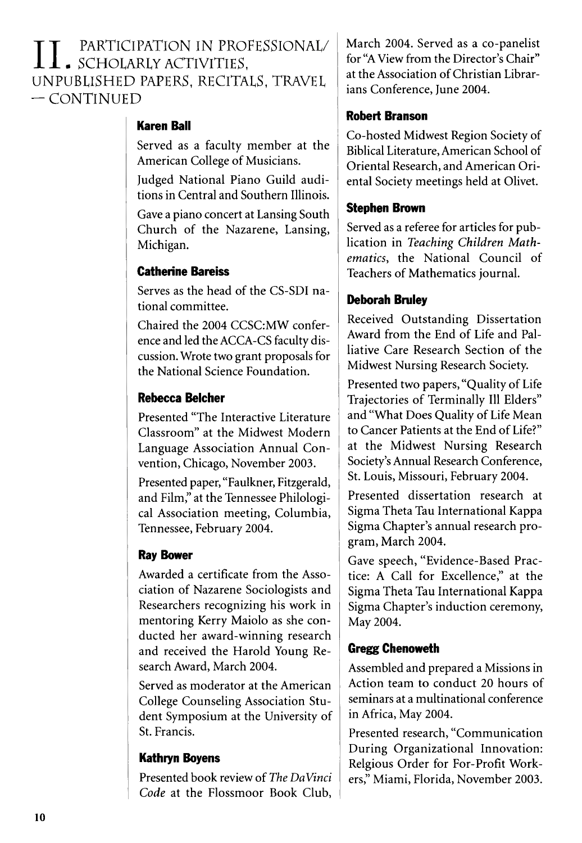$\prod$  , participation in professional/<br>unpublished papers, recitals, travel<br>— continued  $\bullet$  SCHOLARLY ACTIVITIES, UNPUBLISHED PAPERS, RECITALS, TRAVEL  $-$  CONTINUED

#### Karen Ball

Served as a faculty member at the American College of Musicians.

Judged National Piano Guild auditions in Central and Southern Illinois.

Gave a piano concert at Lansing South Church of the Nazarene, Lansing, Michigan.

#### Catherine Bareiss

Serves as the head of the CS-SDI national committee.

Chaired the 2004 CCSC:MW conference and led the ACCA-CS faculty discussion. Wrote two grant proposals for the National Science Foundation.

#### Rebecca Belcher

Presented "The Interactive Literature Classroom" at the Midwest Modern Language Association Annual Convention, Chicago, November 2003.

Presented paper, "Faulkner, Fitzgerald, and Film," at the Tennessee Philological Association meeting, Columbia, Tennessee, February 2004.

#### Ray Bower

Awarded a certificate from the Association of Nazarene Sociologists and Researchers recognizing his work in mentoring Kerry Maiolo as she conducted her award-winning research and received the Harold Young Research Award, March 2004.

Served as moderator at the American College Counseling Association Student Symposium at the University of St. Francis.

#### Kathryn Boyens

Presented book review of *The DaVinci* Code at the Flossmoor Book Club, March 2004. Served as a co-panelist for "A View from the Director's Chair" at the Association of Christian Librarians Conference, June 2004.

#### Robert Branson

Co-hosted Midwest Region Society of Biblical Literature, American School of Oriental Research, and American Oriental Society meetings held at Olivet.

#### Stephen Brown

Served as a referee for articles for publication in Teaching Children Mathematics, the National Council of Teachers of Mathematics journal.

#### Deborah Bruley

Received Outstanding Dissertation Award from the End of Life and Palliative Care Research Section of the Midwest Nursing Research Society.

Presented two papers, "Quality of Life Trajectories of Terminally 111 Elders" and "What Does Quality of Life Mean to Cancer Patients at the End of Life?" at the Midwest Nursing Research Society's Annual Research Conference, St. Louis, Missouri, February 2004.

Presented dissertation research at Sigma Theta Tau International Kappa Sigma Chapter's annual research program, March 2004.

Gave speech, "Evidence-Based Practice: A Call for Excellence," at the Sigma Theta Tau International Kappa Sigma Chapter's induction ceremony, May 2004.

#### Gregg Chenoweth

Assembled and prepared a Missions in Action team to conduct 20 hours of seminars at a multinational conference in Africa, May 2004.

Presented research, "Communication During Organizational Innovation: Relgious Order for For-Profit Workers," Miami, Florida, November 2003.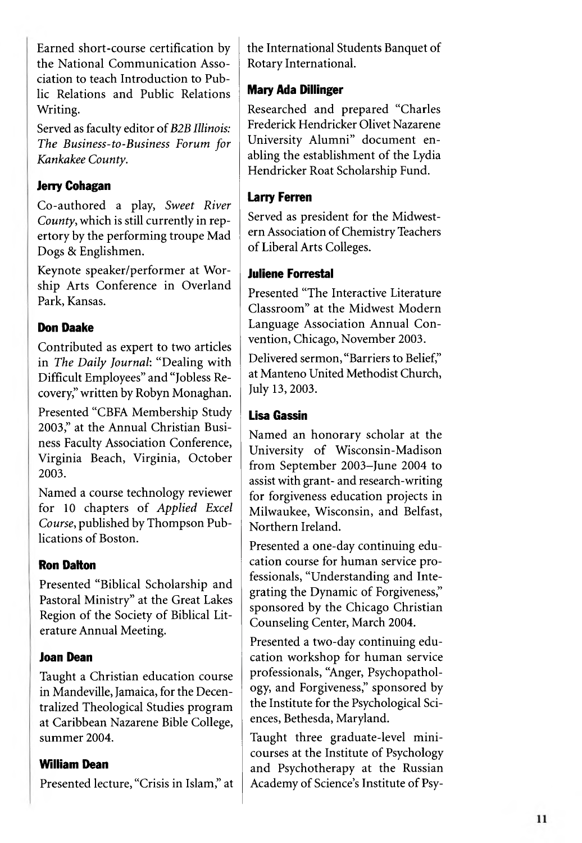Earned short-course certification by the National Communication Association to teach Introduction to Public Relations and Public Relations Writing.

Served as faculty editor of B2B Illinois: The Business-to-Business Forum for Kankakee County.

#### **Jerry Cohagan**

Co-authored a play, Sweet River County, which is still currently in repertory by the performing troupe Mad Dogs & Englishmen.

Keynote speaker/performer at Worship Arts Conference in Overland Park, Kansas.

#### **Don Daake**

Contributed as expert to two articles in The Daily Journal: "Dealing with Difficult Employees" and "Jobless Recovery," written by Robyn Monaghan.

Presented "CBFA Membership Study 2003," at the Annual Christian Business Faculty Association Conference, Virginia Beach, Virginia, October 2003.

Named a course technology reviewer for 10 chapters of Applied Excel Course, published by Thompson Publications of Boston.

#### **Ron Dalton**

Presented "Biblical Scholarship and Pastoral Ministry" at the Great Lakes Region of the Society of Biblical Literature Annual Meeting.

#### **Joan Dean**

Taught a Christian education course in Mandeville, Jamaica, for the Decentralized Theological Studies program at Caribbean Nazarene Bible College, summer 2004.

#### **William Dean**

Presented lecture, "Crisis in Islam," at

the International Students Banquet of Rotary International.

#### **Mary Ada Dillinger**

Researched and prepared "Charles Frederick Hendricker Olivet Nazarene University Alumni" document enabling the establishment of the Lydia Hendricker Roat Scholarship Fund.

#### **Larry Ferren**

Served as president for the Midwestern Association of Chemistry Teachers of Liberal Arts Colleges.

#### **Juliene Forrestal**

Presented "The Interactive Literature Classroom" at the Midwest Modern Language Association Annual Convention, Chicago, November 2003.

Delivered sermon, "Barriers to Belief," at Manteno United Methodist Church, July 13, 2003.

#### **Lisa Gassin**

Named an honorary scholar at the University of Wisconsin-Madison from September 2003-June 2004 to assist with grant- and research-writing for forgiveness education projects in Milwaukee, Wisconsin, and Belfast, Northern Ireland.

Presented a one-day continuing education course for human service professionals, "Understanding and Integrating the Dynamic of Forgiveness," sponsored by the Chicago Christian Counseling Center, March 2004.

Presented a two-day continuing education workshop for human service professionals, "Anger, Psychopathology, and Forgiveness," sponsored by the Institute for the Psychological Sciences, Bethesda, Maryland.

Taught three graduate-level minicourses at the Institute of Psychology and Psychotherapy at the Russian Academy of Science's Institute of Psy-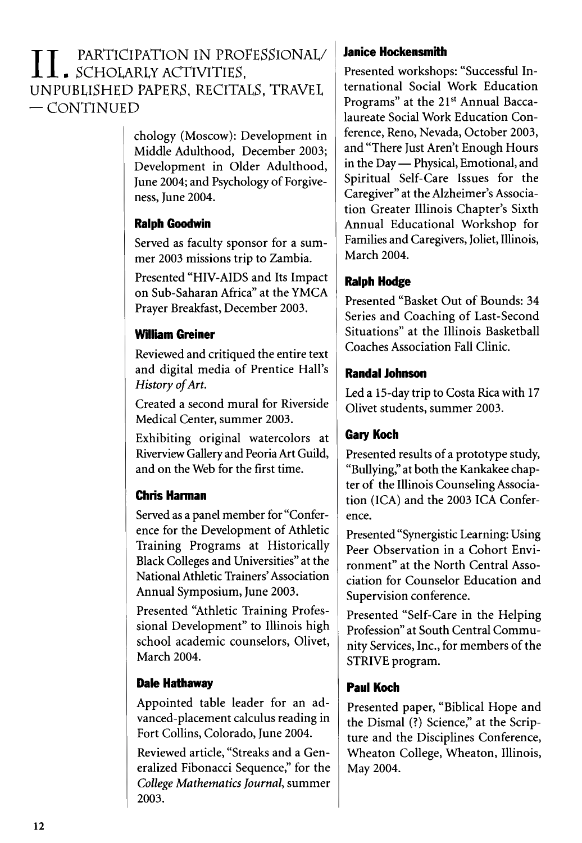#### $\prod_{\text{UNP}}$  PARTICIPATION IN PROFESSIONAL/ . SCHOLARLY ACTIVITIES, UNPUBLISHED PAPERS, RECITALS, TRAVEL  $-$  CONTINUED

chology (Moscow): Development in Middle Adulthood, December 2003; Development in Older Adulthood, June 2004; and Psychology of Forgiveness, June 2004.

#### Ralph Goodwin

Served as faculty sponsor for a sum mer 2003 missions trip to Zambia.

Presented "HIV-AIDS and Its Impact on Sub-Saharan Africa" at the YMCA Prayer Breakfast, December 2003.

#### William Greiner

Reviewed and critiqued the entire text and digital media of Prentice Hall's History of Art.

Created a second mural for Riverside Medical Center, summer 2003.

Exhibiting original watercolors at Riverview Gallery and Peoria Art Guild, and on the Web for the first time.

#### Chris Harman

Served as a panel member for "Conference for the Development of Athletic Training Programs at Historically Black Colleges and Universities" at the National Athletic Trainers'Association Annual Symposium, June 2003.

Presented "Athletic Training Professional Development" to Illinois high school academic counselors, Olivet, March 2004.

#### Dale Hathaway

Appointed table leader for an advanced-placement calculus reading in Fort Collins, Colorado, June 2004.

Reviewed article, "Streaks and a Generalized Fibonacci Sequence," for the *College Mathematics Journal*, summer 2003.

#### **Janice Hockensmith**

Presented workshops: "Successful International Social Work Education Programs" at the 21st Annual Baccalaureate Social Work Education Conference, Reno, Nevada, October 2003, and "There Just Aren't Enough Hours in the Day — Physical, Emotional, and Spiritual Self-Care Issues for the Caregiver" at the Alzheimer's Association Greater Illinois Chapter's Sixth Annual Educational Workshop for Families and Caregivers, Joliet, Illinois, March 2004.

#### Ralph Hodge

Presented "Basket Out of Bounds: 34 Series and Coaching of Last-Second Situations" at the Illinois Basketball Coaches Association Fall Clinic.

#### Randal Johnson

Led a 15-day trip to Costa Rica with 17 Olivet students, summer 2003.

#### **Gary Koch**

Presented results of a prototype study, "Bullying," at both the Kankakee chapter of the Illinois Counseling Association (ICA) and the 2003 ICA Conference.

Presented "Synergistic Learning: Using Peer Observation in a Cohort Environment" at the North Central Association for Counselor Education and Supervision conference.

Presented "Self-Care in the Helping Profession" at South Central Community Services, Inc., for members of the STRIVE program.

#### Paul Koch

Presented paper, "Biblical Hope and the Dismal (?) Science," at the Scripture and the Disciplines Conference, Wheaton College, Wheaton, Illinois, May 2004.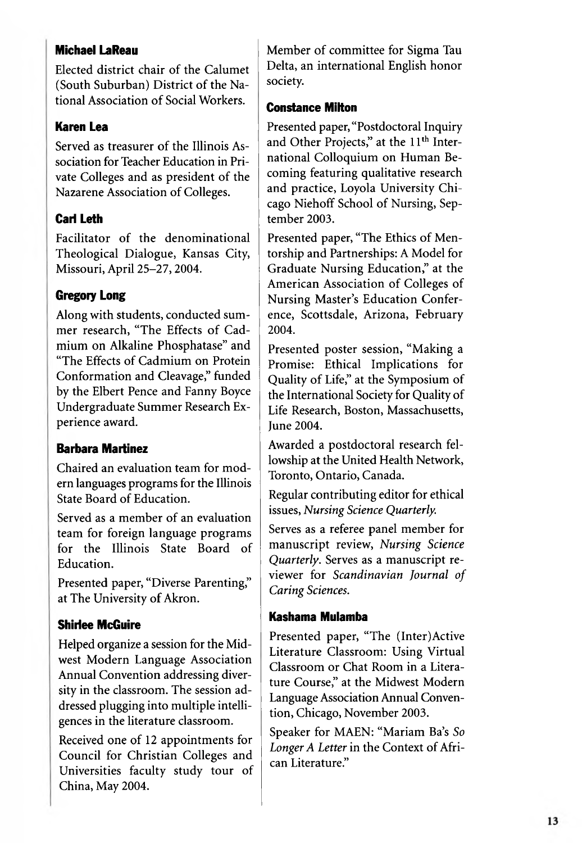#### **Michael LaReau**

Elected district chair of the Calumet (South Suburban) District of the National Association of Social Workers.

#### **Karen Lea**

Served as treasurer of the Illinois Association for Teacher Education in Private Colleges and as president of the Nazarene Association of Colleges.

#### **Carl Leth**

Facilitator of the denominational Theological Dialogue, Kansas City, Missouri, April 25-27, 2004.

#### **Gregory Long**

Along with students, conducted summer research, "The Effects of Cadmium on Alkaline Phosphatase" and "The Effects of Cadmium on Protein Conformation and Cleavage," funded by the Elbert Pence and Fanny Boyce Undergraduate Summer Research Experience award.

#### **Barbara Martinez**

Chaired an evaluation team for modern languages programs for the Illinois State Board of Education.

Served as a member of an evaluation team for foreign language programs for the Illinois State Board of Education.

Presented paper, "Diverse Parenting," at The University of Akron.

#### **Shirlee McGuire**

Helped organize a session for the Midwest Modern Language Association Annual Convention addressing diversity in the classroom. The session addressed plugging into multiple intelligences in the literature classroom.

Received one of 12 appointments for Council for Christian Colleges and Universities faculty study tour of China, May 2004.

Member of committee for Sigma Tau Delta, an international English honor society.

#### **Constance Milton**

Presented paper, "Postdoctoral Inquiry and Other Projects," at the 11<sup>th</sup> International Colloquium on Human Becoming featuring qualitative research and practice, Loyola University Chicago Niehoff School of Nursing, September 2003.

Presented paper, "The Ethics of Mentorship and Partnerships: A Model for Graduate Nursing Education," at the American Association of Colleges of Nursing Master's Education Conference, Scottsdale, Arizona, February 2004.

Presented poster session, "Making a Promise: Ethical Implications for Quality of Life," at the Symposium of the International Society for Quality of Life Research, Boston, Massachusetts, **Iune 2004.** 

Awarded a postdoctoral research fellowship at the United Health Network, Toronto, Ontario, Canada.

Regular contributing editor for ethical issues, Nursing Science Quarterly.

Serves as a referee panel member for manuscript review, Nursing Science Quarterly. Serves as a manuscript reviewer for Scandinavian Journal of Caring Sciences.

#### Kashama Mulamba

Presented paper, "The (Inter)Active Literature Classroom: Using Virtual Classroom or Chat Room in a Literature Course," at the Midwest Modern Language Association Annual Convention, Chicago, November 2003.

Speaker for MAEN: "Mariam Ba's So Longer A Letter in the Context of African Literature."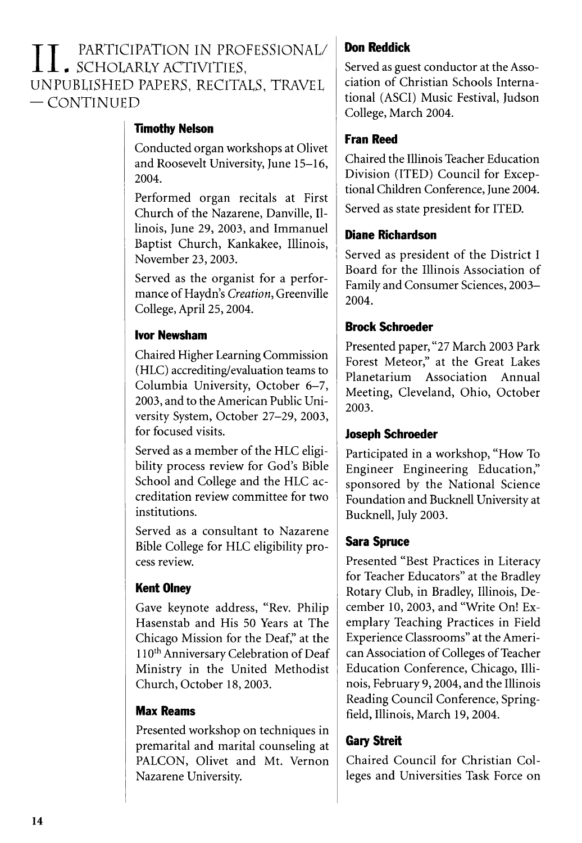] ] \_ PARTICIPATION IN PROFESSIONAL/<br>UNPUBLISHED PAPERS, RECITALS, TRAVEL<br>— CONTINUED . SCHOLARLY ACTIVITIES, UNPUBLISHED PAPERS, RECITALS, TRAVEL  $-$  CONTINUED

#### **Timothy Nelson**

Conducted organ workshops at Olivet and Roosevelt University, June 15-16, 2004.

Performed organ recitals at First Church of the Nazarene, Danville, Illinois, June 29, 2003, and Immanuel Baptist Church, Kankakee, Illinois, November 23,2003.

Served as the organist for a performance of Haydn's *Creation,* Greenville College, April 25,2004.

#### Ivor Newsham

Chaired Higher Learning Commission (HLC) accrediting/evaluation teams to Columbia University, October 6-7, 2003, and to the American Public University System, October 27-29, 2003, for focused visits.

Served as a member of the HLC eligibility process review for God's Bible School and College and the HLC accreditation review committee for two institutions.

Served as a consultant to Nazarene Bible College for HLC eligibility process review.

#### Kent Olney

Gave keynote address, "Rev. Philip Hasenstab and His 50 Years at The Chicago Mission for the Deaf," at the 110<sup>th</sup> Anniversary Celebration of Deaf Ministry in the United Methodist Church, October 18, 2003.

#### Max Reams

Presented workshop on techniques in premarital and marital counseling at PALCON, Olivet and Mt. Vernon Nazarene University.

#### Don Reddick

Served as guest conductor at the Association of Christian Schools International (ASCI) Music Festival, Judson College, March 2004.

#### Fran Reed

Chaired the Illinois Teacher Education Division (ITED) Council for Exceptional Children Conference, June 2004.

Served as state president for ITED.

#### Diane Richardson

Served as president of the District I Board for the Illinois Association of Family and Consumer Sciences, 2003-2004.

#### Brock Schroeder

Presented paper, "27 March 2003 Park Forest Meteor," at the Great Lakes Planetarium Association Annual Meeting, Cleveland, Ohio, October 2003.

#### Joseph Schroeder

Participated in a workshop, "How To Engineer Engineering Education," sponsored by the National Science Foundation and Bucknell University at Bucknell, July 2003.

#### Sara Spruce

Presented "Best Practices in Literacy for Teacher Educators" at the Bradley Rotary Club, in Bradley, Illinois, December 10, 2003, and "Write On! Exemplary Teaching Practices in Field Experience Classrooms" at the American Association of Colleges of Teacher Education Conference, Chicago, Illinois, February 9,2004, and the Illinois Reading Council Conference, Springfield, Illinois, March 19, 2004.

#### Gary Streit

Chaired Council for Christian Colleges and Universities Task Force on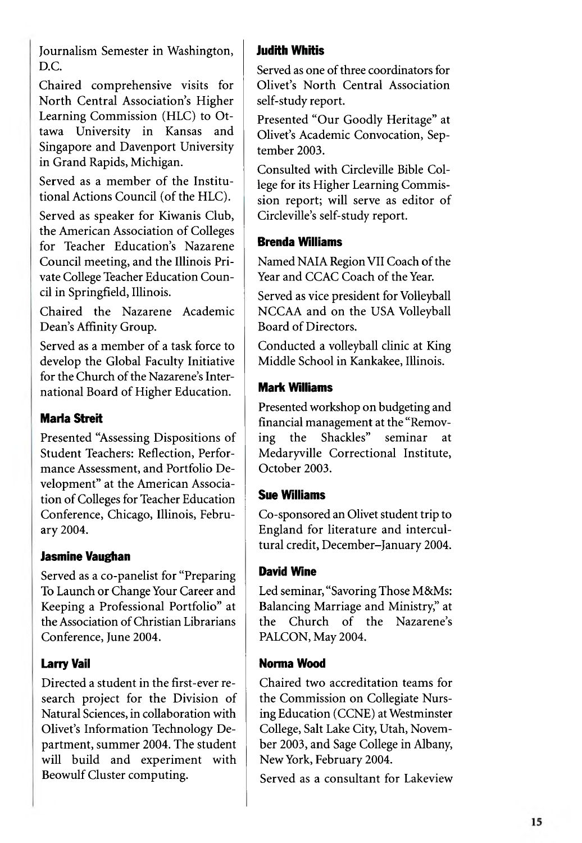Journalism Semester in Washington, D.C.

Chaired comprehensive visits for North Central Association's Higher Learning Commission (HLC) to Ottawa University in Kansas and Singapore and Davenport University in Grand Rapids, Michigan.

Served as a member of the Institutional Actions Council (of the HLC).

Served as speaker for Kiwanis Club, the American Association of Colleges for Teacher Education's Nazarene Council meeting, and the Illinois Private College Teacher Education Council in Springfield, Illinois.

Chaired the Nazarene Academic Dean's Affinity Group.

Served as a member of a task force to develop the Global Faculty Initiative for the Church of the Nazarene's International Board of Higher Education.

#### Maria Streit

Presented "Assessing Dispositions of Student Teachers: Reflection, Performance Assessment, and Portfolio Development" at the American Association of Colleges for Teacher Education Conference, Chicago, Illinois, February 2004.

#### Jasmine Vaughan

Served as a co-panelist for "Preparing To Launch or Change Your Career and Keeping a Professional Portfolio" at the Association of Christian Librarians Conference, June 2004.

#### Larry Vail

Directed a student in the first-ever research project for the Division of Natural Sciences, in collaboration with Olivet's Information Technology Department, summer 2004. The student will build and experiment with Beowulf Cluster computing.

#### Judith Whitis

Served as one of three coordinators for Olivet's North Central Association self-study report.

Presented "Our Goodly Heritage" at Olivet's Academic Convocation, September 2003.

Consulted with Circleville Bible College for its Higher Learning Commission report; will serve as editor of Circleville's self-study report.

#### Brenda Williams

Named NAIA Region VII Coach of the Year and CCAC Coach of the Year.

Served as vice president for Volleyball NCCAA and on the USA Volleyball Board of Directors.

Conducted a volleyball clinic at King Middle School in Kankakee, Illinois.

#### Mark Williams

Presented workshop on budgeting and financial management at the "Removing the Shackles" seminar at Medaryville Correctional Institute, October 2003.

#### Sue Williams

Co-sponsored an Olivet student trip to England for literature and intercultural credit, December-January 2004.

#### David Wine

Led seminar, "Savoring Those M&Ms: Balancing Marriage and Ministry," at the Church of the Nazarene's PALCON, May 2004.

#### Norma Wood

Chaired two accreditation teams for the Commission on Collegiate Nursing Education (CCNE) at Westminster College, Salt Lake City, Utah, November 2003, and Sage College in Albany, New York, February 2004.

Served as a consultant for Lakeview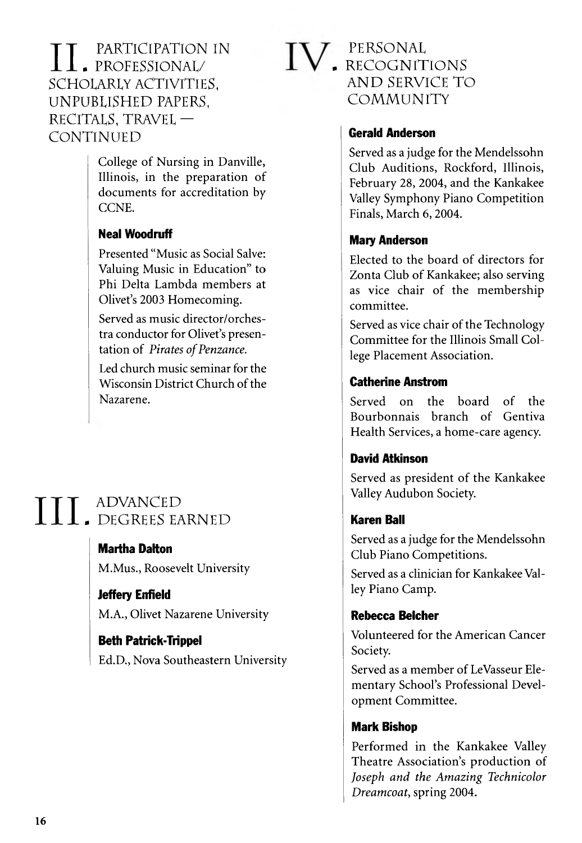#### **II L** PARTICIPATION IN<br>SCHOLARLY ACTIVITIES,<br>UNPURUSHED PAPERS . PROFESSIONAL/ SCHOLARLY ACTIVITIES, UNPUBLISHED PAPERS, RECITALS, TRAVEL — **CONTINUED**

College of Nursing in Danville, Illinois, in the preparation of documents for accreditation by CCNE.

#### Neal Woodruff

Presented "Music as Social Salve: Valuing Music in Education" to Phi Delta Lambda members at Olivet's 2003 Homecoming.

Served as music director/orchestra conductor for Olivet's presentation of *Pirates of Penzance*.

Led church music seminar for the Wisconsin District Church of the Nazarene.

### $\prod$  ,  $\begin{array}{c}\text{ADVANCED}\ \text{DEGREES EA}\end{array}$  Martha Dalton . DEGREES EARNED

Martha Dalton M.Mus., Roosevelt University

Jeffery Enfield M.A., Olivet Nazarene University

Beth Patrick-Trippel Ed.D., Nova Southeastern University

#### PERSONAL  $\blacksquare$  RECOGNITIONS AND SERVICE TO COMMUNITY

#### Gerald Anderson

Served as a judge for the Mendelssohn Club Auditions, Rockford, Illinois, February 28, 2004, and the Kankakee Valley Symphony Piano Competition Finals, March 6, 2004.

#### Mary Anderson

Elected to the board of directors for Zonta Club of Kankakee; also serving as vice chair of the membership committee.

Served as vice chair of the Technology Committee for the Illinois Small College Placement Association.

#### Catherine Anstrom

Served on the board of the Bourbonnais branch of Gentiva Health Services, a home-care agency.

#### David Atkinson

Served as president of the Kankakee Valley Audubon Society.

#### Karen Ball

Served as a judge for the Mendelssohn Club Piano Competitions.

Served as a clinician for Kankakee Valley Piano Camp.

#### Rebecca Belcher

Volunteered for the American Cancer Society.

Served as a member of LeVasseur Elementary School's Professional Development Committee.

#### Mark Bishop

Performed in the Kankakee Valley Theatre Association's production of Joseph and the Amazing Technicolor *Dreamcoat,* spring 2004.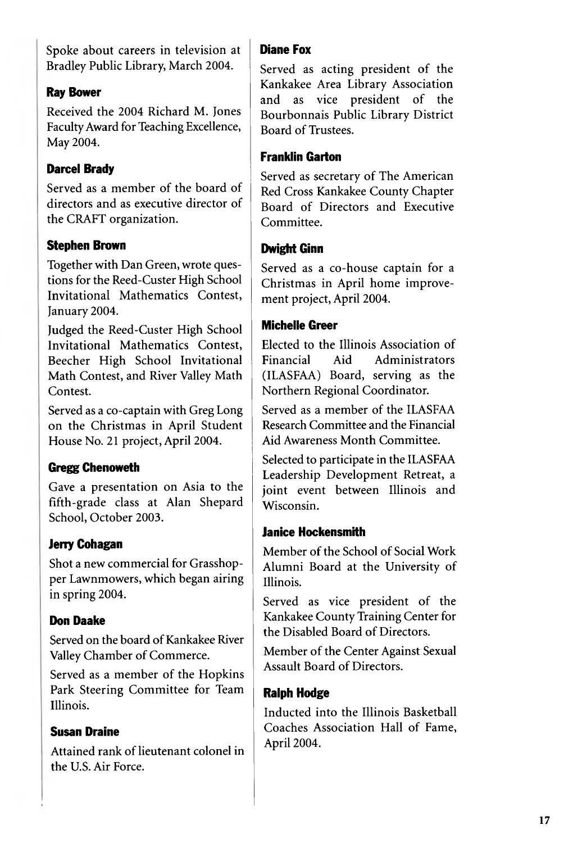Spoke about careers in television at Bradley Public Library, March 2004.

#### Ray Bower

Received the 2004 Richard M. Jones Faculty Award for Teaching Excellence, May 2004.

#### Parcel Brady

Served as a member of the board of directors and as executive director of the CRAFT organization.

#### Stephen Brown

Together with Dan Green, wrote questions for the Reed-Custer High School Invitational Mathematics Contest, January 2004.

Judged the Reed-Custer High School Invitational Mathematics Contest, Beecher High School Invitational Math Contest, and River Valley Math Contest.

Served as a co-captain with Greg Long on the Christmas in April Student House No. 21 project, April 2004.

#### Gregg Chenoweth

Gave a presentation on Asia to the fifth-grade class at Alan Shepard School, October 2003.

#### Jerry Cohagan

Shot a new commercial for Grasshopper Lawnmowers, which began airing in spring 2004.

#### Don Daake

Served on the board of Kankakee River Valley Chamber of Commerce.

Served as a member of the Hopkins Park Steering Committee for Team Illinois.

#### Susan Draine

Attained rank of lieutenant colonel in the U.S. Air Force.

#### Diane Fox

Served as acting president of the Kankakee Area Library Association and as vice president of the Bourbonnais Public Library District Board of Trustees.

#### Franklin Garton

Served as secretary of The American Red Cross Kankakee County Chapter Board of Directors and Executive Committee.

#### Dwight Ginn

Served as a co-house captain for a Christmas in April home improvement project, April 2004.

#### Michelle Greer

Elected to the Illinois Association of Financial Aid Administrators (ILASFAA) Board, serving as the Northern Regional Coordinator.

Served as a member of the ILASFAA Research Committee and the Financial Aid Awareness Month Committee.

Selected to participate in the ILASFAA Leadership Development Retreat, a joint event between Illinois and Wisconsin.

#### Janice Hockensmith

Member of the School of Social Work Alumni Board at the University of Illinois.

Served as vice president of the Kankakee County Training Center for the Disabled Board of Directors.

Member of the Center Against Sexual Assault Board of Directors.

#### Ralph Hodge

Inducted into the Illinois Basketball Coaches Association Hall of Fame, April 2004.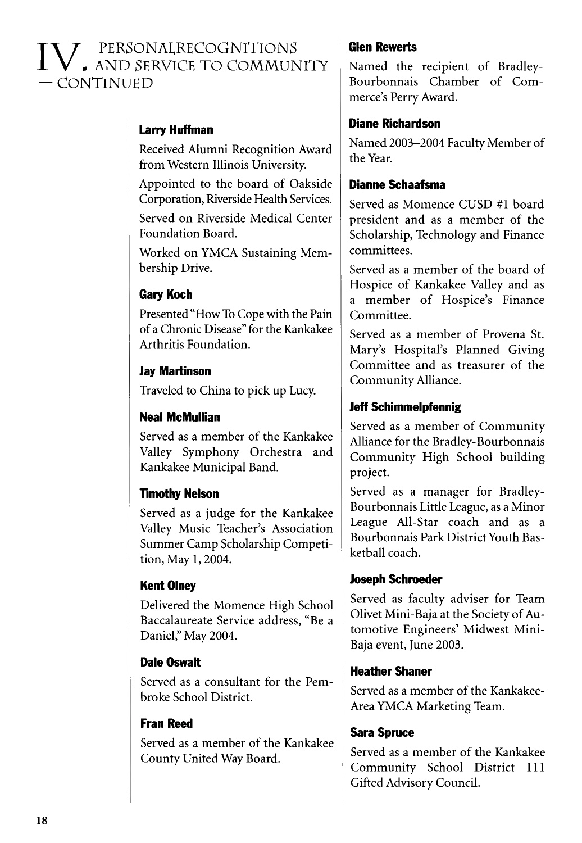### $V$  , personalrecognitions<br>In and service to community  $-$  CONTINUED

#### Larry Huffman

Received Alumni Recognition Award from Western Illinois University.

Appointed to the board of Oakside Corporation, Riverside Health Services.

Served on Riverside Medical Center Foundation Board.

Worked on YMCA Sustaining Membership Drive.

#### Gary Koch

Presented "How To Cope with the Pain of a Chronic Disease" for the Kankakee Arthritis Foundation.

#### Jay Martinson

Traveled to China to pick up Lucy.

#### Neal McMullian

Served as a member of the Kankakee Valley Symphony Orchestra and Kankakee Municipal Band.

#### **Timothy Nelson**

Served as a judge for the Kankakee Valley Music Teacher's Association Summer Camp Scholarship Competition, May 1,2004.

#### Kent Olney

Delivered the Momence High School Baccalaureate Service address, "Be a Daniel," May 2004.

#### Dale Oswalt

Served as a consultant for the Pem broke School District.

#### Fran Reed

Served as a member of the Kankakee County United Way Board.

#### Glen Rewerts

Named the recipient of Bradley-Bourbonnais Chamber of Commerce's Perry Award.

#### Diane Richardson

Named 2003-2004 Faculty Member of the Year.

#### Dianne Schaafsma

Served as Momence CUSD #1 board president and as a member of the Scholarship, Technology and Finance committees.

Served as a member of the board of Hospice of Kankakee Valley and as a member of Hospice's Finance Committee.

Served as a member of Provena St. Mary's Hospital's Planned Giving Committee and as treasurer of the Community Alliance.

#### Jeff Schimmelpfennig

Served as a member of Community Alliance for the Bradley-Bourbonnais Community High School building project.

Served as a manager for Bradley-Bourbonnais Little League, as a Minor League All-Star coach and as a Bourbonnais Park District Youth Basketball coach.

#### Joseph Schroeder

Served as faculty adviser for Team Olivet Mini-Baja at the Society of Automotive Engineers' Midwest Mini-Baja event, june 2003.

#### Heather Shaner

Served as a member of the Kankakee-Area YMCA Marketing Team.

#### Sara Spruce

Served as a member of the Kankakee Community School District 111 Gifted Advisory Council.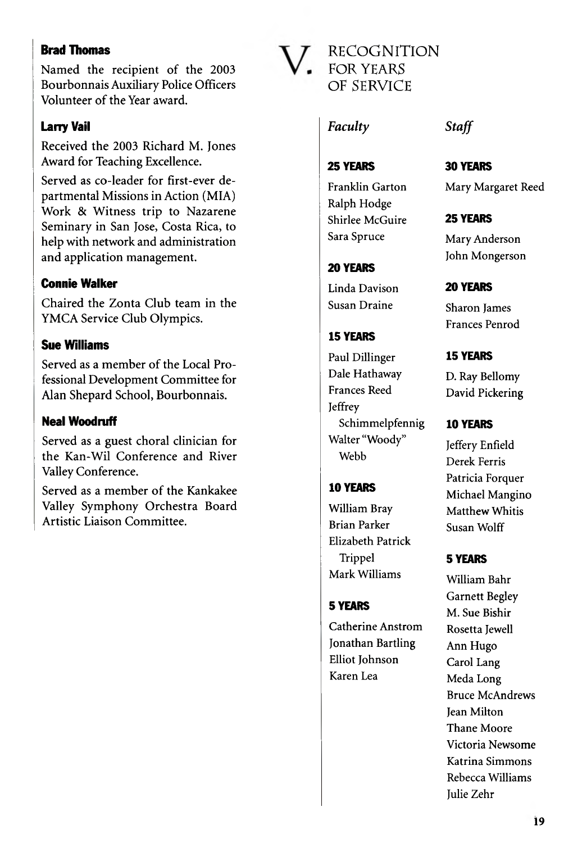#### **Brad Thomas**

Named the recipient of the 2003 Bourbonnais Auxiliary Police Officers Volunteer of the Year award.

#### Larry Vail

Received the 2003 Richard M. Jones Award for Teaching Excellence.

Served as co-leader for first-ever departmental Missions in Action (MIA) Work & Witness trip to Nazarene Seminary in San Jose, Costa Rica, to help with network and administration and application management.

#### Connie Walker

Chaired the Zonta Club team in the YMCA Service Club Olympics.

#### Sue Williams

Served as a member of the Local Professional Development Committee for Alan Shepard School, Bourbonnais.

#### Neal Woodruff

Served as a guest choral clinician for the Kan-Wil Conference and River Valley Conference.

Served as a member of the Kankakee Valley Symphony Orchestra Board Artistic Liaison Committee.

RE COGNITION - FOR YEARS OF SERVICE

#### *Faculty Staff*

25 YEARS

Franklin Garton Ralph Hodge Shirlee McGuire Sara Spruce

#### 20 YEARS

Linda Davison Susan Draine

#### IS YEARS

Paul Dillinger Dale Hathaway Frances Reed Jeffrey Schimmelpfennig Walter "Woody" Webb

#### 10 YEARS

William Bray Brian Parker Elizabeth Patrick Trippel Mark Williams

#### 5 YEARS

Catherine Anstrom Jonathan Bartling Elliot Johnson Karen Lea

#### 30 YEARS

Mary Margaret Reed

#### 25 YEARS

Mary Anderson John Mongerson

#### 20 YEARS

Sharon James Frances Penrod

#### 15 YEARS

D. Ray Bellomy David Pickering

#### 10 YEARS

Jeffery Enfield Derek Ferris Patricia Forquer Michael Mangino Matthew Whitis Susan Wolff

#### 5 YEARS

William Bahr Garnett Begley M. Sue Bishir Rosetta Jewell Ann Hugo Carol Lang Meda Long Bruce McAndrews Jean Milton Thane Moore Victoria Newsome Katrina Simmons Rebecca Williams Julie Zehr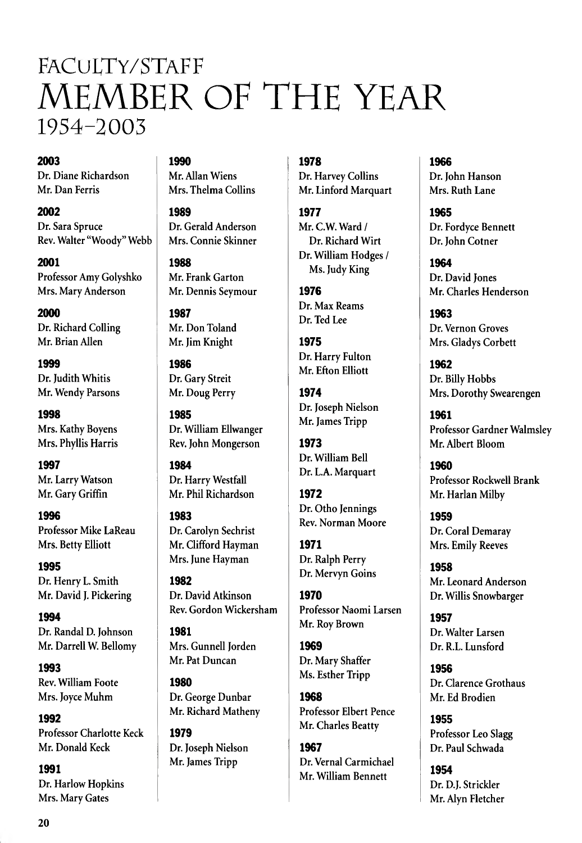### FaCuLTy/STaFF MEMBER OF THE YEAR 1954-2003

#### **2003**

Dr. Diane Richardson Mr. Dan Ferris

2002 Dr. Sara Spruce Rev. Walter "Woody" Webb

2001

Professor Amy Golyshko Mrs. Mary Anderson

**2000** Dr. Richard Colling Mr. Brian Allen

**1999** Dr. Judith Whitis Mr. Wendy Parsons

**1998** Mrs. Kathy Boyens Mrs. Phyllis Harris

**1997** Mr. Larry Watson Mr. Gary Griffin

**19%** Professor Mike LaReau Mrs. Betty Elliott

**1995** Dr. Henry L. Smith Mr. David J. Pickering

**1994** Dr. Randal D. Johnson Mr. Darrell W. Bellomy

**1993** Rev. William Foote Mrs. Joyce Muhm

**1992** Professor Charlotte Keck Mr. Donald Keck

**1991** Dr. Harlow Hopkins Mrs. Mary Gates

**1990**

Mr. Allan Wiens Mrs. Thelma Collins

**1989** Dr. Gerald Anderson Mrs. Connie Skinner

**1988** Mr. Frank Garton Mr. Dennis Seymour

**1987** Mr. Don Toland Mr. Jim Knight

**1986** Dr. Gary Streit Mr. Doug Perry

**1985** Dr. William Ellwanger Rev. John Mongerson

**1984** Dr. Harry Westfall Mr. Phil Richardson

**1983** Dr. Carolyn Sechrist Mr. Clifford Hayman Mrs. June Hayman

**1982** Dr. David Atkinson Rev. Gordon Wickersham

**1981** Mrs. Gunnell Jorden Mr. Pat Duncan

**1980** Dr. George Dunbar Mr. Richard Matheny

**1979** Dr. Joseph Nielson Mr. James Tripp

#### **1978**

Dr. Harvey Collins Mr. Linford Marquart

**1977** Mr. C.W. Ward / Dr. Richard Wirt Dr. William Hodges / Ms. Judy King

**1976** Dr. Max Reams Dr. Ted Lee

**1975** Dr. Harry Fulton Mr. Efton Elliott

**1974** Dr. Joseph Nielson Mr. James Tripp

**1973** Dr. William Bell Dr. L.A. Marquart

**1972** Dr. Otho Jennings Rev. Norman Moore

**1971** Dr. Ralph Perry Dr. Mervyn Goins

**1970** Professor Naomi Larsen Mr. Roy Brown

**1%9** Dr. Mary Shaffer Ms. Esther Tripp

1%8 Professor Elbert Pence Mr. Charles Beatty

**1%7** Dr. Vernal Carmichael Mr. William Bennett

**1966** Dr. John Hanson Mrs. Ruth Lane

**1%5** Dr. Fordyce Bennett Dr. John Cotner

**1964** Dr. David Jones Mr. Charles Henderson

**1%3** Dr. Vernon Groves Mrs. Gladys Corbett

1962 Dr. Billy Hobbs Mrs. Dorothy Swearengen

**1961** Professor Gardner Walmsley Mr. Albert Bloom

1960 Professor Rockwell Brank Mr. Harlan Milby

**1959** Dr. Coral Demaray Mrs. Emily Reeves

**1958** Mr. Leonard Anderson Dr. Willis Snowbarger

**1957** Dr. Walter Larsen Dr. R.L. Lunsford

**1956** Dr. Clarence Grothaus Mr. Ed Brodien

**1955** Professor Leo Slagg Dr. Paul Schwada

**1954** Dr. D.J. Strickler Mr. Alyn Fletcher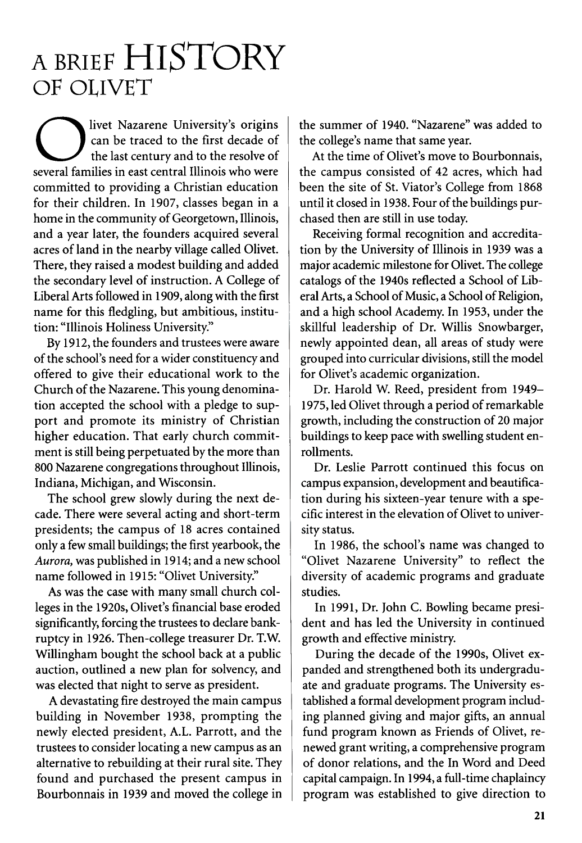### A BRIEF HISTORY OF OLIVET

Several families in east central Illinois who were<br>
several families in east central Illinois who were<br>
several families in east central Illinois who were<br>
the can livet Nazarene University's origins can be traced to the first decade of the last century and to the resolve of committed to providing a Christian education for their children. In 1907, classes began in a home in the community of Georgetown, Illinois, and a year later, the founders acquired several acres of land in the nearby village called Olivet. There, they raised a modest building and added the secondary level of instruction. A College of Liberal Arts followed in 1909, along with the first name for this fledgling, but ambitious, institution: "Illinois Holiness University."

By 1912, the founders and trustees were aware of the school's need for a wider constituency and offered to give their educational work to the Church of the Nazarene. This young denomination accepted the school with a pledge to support and promote its ministry of Christian higher education. That early church commitment is still being perpetuated by the more than 800 Nazarene congregations throughout Illinois, Indiana, Michigan, and Wisconsin.

The school grew slowly during the next decade. There were several acting and short-term presidents; the campus of 18 acres contained only a few small buildings; the first yearbook, the *Aurora,* was published in 1914; and a new school name followed in 1915: "Olivet University."

As was the case with many small church colleges in the 1920s, Olivet's financial base eroded significantly, forcing the trustees to declare bankruptcy in 1926. Then-college treasurer Dr. T.W. Willingham bought the school back at a public auction, outlined a new plan for solvency, and was elected that night to serve as president.

A devastating fire destroyed the main campus building in November 1938, prompting the newly elected president, A.L. Parrott, and the trustees to consider locating a new campus as an alternative to rebuilding at their rural site. They found and purchased the present campus in Bourbonnais in 1939 and moved the college in the summer of 1940. "Nazarene" was added to the college's name that same year.

At the time of Olivet's move to Bourbonnais, the campus consisted of 42 acres, which had been the site of St. Viator's College from 1868 until it closed in 1938. Four of the buildings purchased then are still in use today.

Receiving formal recognition and accreditation by the University of Illinois in 1939 was a major academic milestone for Olivet. The college catalogs of the 1940s reflected a School of Liberal Arts, a School of Music, a School of Religion, and a high school Academy. In 1953, under the skillful leadership of Dr. Willis Snowbarger, newly appointed dean, all areas of study were grouped into curricular divisions, still the model for Olivet's academic organization.

Dr. Harold W. Reed, president from 1949-1975, led Olivet through a period of remarkable growth, including the construction of 20 major buildings to keep pace with swelling student enrollments.

Dr. Leslie Parrott continued this focus on campus expansion, development and beautification during his sixteen-year tenure with a specific interest in the elevation of Olivet to university status.

In 1986, the school's name was changed to "Olivet Nazarene University" to reflect the diversity of academic programs and graduate studies.

In 1991, Dr. John C. Bowling became president and has led the University in continued growth and effective ministry.

During the decade of the 1990s, Olivet expanded and strengthened both its undergraduate and graduate programs. The University established a formal development program including planned giving and major gifts, an annual fund program known as Friends of Olivet, renewed grant writing, a comprehensive program of donor relations, and the In Word and Deed capital campaign. In 1994, a full-time chaplaincy program was established to give direction to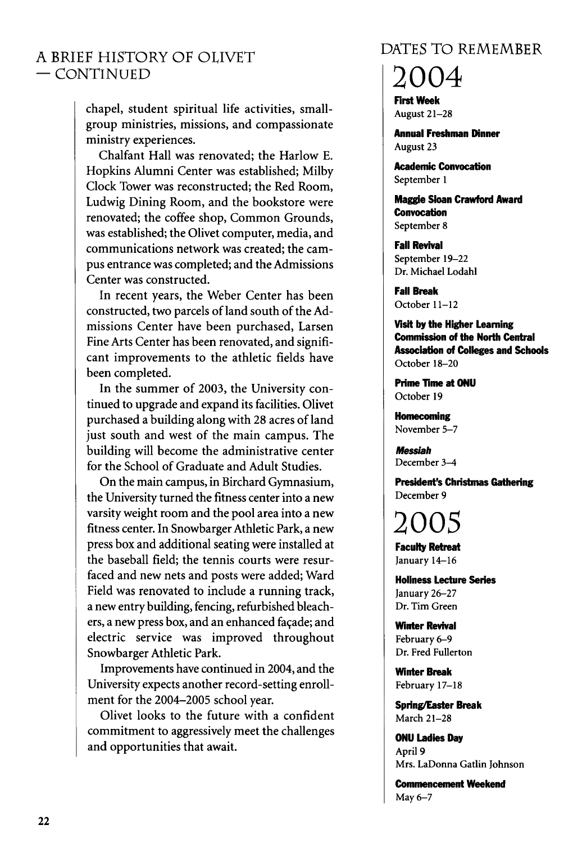#### A BRIEF HISTORY OF OLIVET  $-$  CONTINUED

chapel, student spiritual life activities, smallgroup ministries, missions, and compassionate ministry experiences.

Chalfant Hall was renovated; the Harlow E. Hopkins Alumni Center was established; Milby Clock Tower was reconstructed; the Red Room, Ludwig Dining Room, and the bookstore were renovated; the coffee shop, Common Grounds, was established; the Olivet computer, media, and communications network was created; the campus entrance was completed; and the Admissions Center was constructed.

In recent years, the Weber Center has been constructed, two parcels of land south of the Admissions Center have been purchased, Larsen Fine Arts Center has been renovated, and significant improvements to the athletic fields have been completed.

In the summer of 2003, the University continued to upgrade and expand its facilities. Olivet purchased a building along with 28 acres of land just south and west of the main campus. The building will become the administrative center for the School of Graduate and Adult Studies.

On the main campus, in Birchard Gymnasium, the University turned the fitness center into a new varsity weight room and the pool area into a new fitness center. In Snowbarger Athletic Park, a new press box and additional seating were installed at the baseball field; the tennis courts were resurfaced and new nets and posts were added; Ward Field was renovated to include a running track, a new entry building, fencing, refurbished bleachers, a new press box, and an enhanced facade; and electric service was im proved throughout Snowbarger Athletic Park.

Improvements have continued in 2004, and the University expects another record-setting enrollment for the 2004-2005 school year.

Olivet looks to the future with a confident commitment to aggressively meet the challenges and opportunities that await.

#### DATES TO REMEMBER

2004

First Week August 21-28

Annual Freshman Dinner August 23

Academic Convocation September 1

Maggie Sloan Crawford Award **Convocation** September 8

Fall Revival September 19-22 Dr. Michael Lodahl

Fall Break October 11-12

Visit by the Higher Learning Commission of the North Central Association of Colleges and Schools October 18-20

Prime Time at ONU October 19

Homecoming November 5-7

*Messiah* December 3-4

President's Christmas Gathering December 9

2005 Faculty Retreat January 14-16

Holiness Lecture Series January 26-27 Dr. Tim Green

**Winter Revival** February 6-9 Dr. Fred Fullerton

**Winter Break** February 17-18

Spring/Easter Break March 21-28

ONU Ladies Day April 9 Mrs. LaDonna Gatlin Johnson

Commencement Weekend May 6-7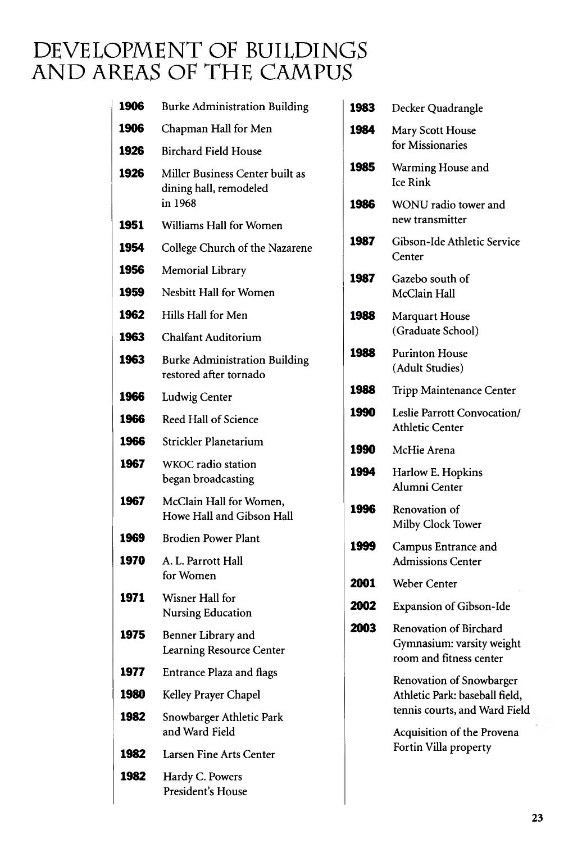### DEVELOPMENT OF BUILDINGS AND AREAS OF THE CAMPUS

| 1906 | <b>Burke Administration Building</b>                           | 1983 | Decker Quadrangle                                                                                                     |
|------|----------------------------------------------------------------|------|-----------------------------------------------------------------------------------------------------------------------|
| 1906 | Chapman Hall for Men                                           | 1984 | Mary Scott House                                                                                                      |
| 1926 | <b>Birchard Field House</b>                                    |      | for Missionaries                                                                                                      |
| 1926 | Miller Business Center built as<br>dining hall, remodeled      | 1985 | Warming House and<br><b>Ice Rink</b>                                                                                  |
|      | in 1968                                                        | 1986 | WONU radio tower and<br>new transmitter                                                                               |
| 1951 | Williams Hall for Women                                        |      |                                                                                                                       |
| 1954 | College Church of the Nazarene                                 | 1987 | Gibson-Ide Athletic Service<br>Center                                                                                 |
| 1956 | Memorial Library                                               | 1987 | Gazebo south of                                                                                                       |
| 1959 | Nesbitt Hall for Women                                         |      | McClain Hall                                                                                                          |
| 1962 | Hills Hall for Men                                             | 1988 | Marquart House                                                                                                        |
| 1963 | <b>Chalfant Auditorium</b>                                     |      | (Graduate School)                                                                                                     |
| 1963 | <b>Burke Administration Building</b><br>restored after tornado | 1988 | <b>Purinton House</b><br>(Adult Studies)                                                                              |
| 1966 | Ludwig Center                                                  | 1988 | Tripp Maintenance Center                                                                                              |
| 1966 | Reed Hall of Science                                           | 1990 | Leslie Parrott Convocation/<br><b>Athletic Center</b>                                                                 |
| 1966 | Strickler Planetarium                                          | 1990 | McHie Arena                                                                                                           |
| 1967 | WKOC radio station<br>began broadcasting                       | 1994 | Harlow E. Hopkins<br>Alumni Center                                                                                    |
| 1967 | McClain Hall for Women,<br>Howe Hall and Gibson Hall           | 1996 | Renovation of<br>Milby Clock Tower                                                                                    |
| 1969 | <b>Brodien Power Plant</b>                                     | 1999 | Campus Entrance and                                                                                                   |
| 1970 | A. L. Parrott Hall                                             |      | <b>Admissions Center</b>                                                                                              |
|      | for Women                                                      | 2001 | Weber Center                                                                                                          |
| 1971 | Wisner Hall for<br><b>Nursing Education</b>                    | 2002 | <b>Expansion of Gibson-Ide</b>                                                                                        |
| 1975 | Benner Library and<br>Learning Resource Center                 | 2003 | Renovation of Birchard<br>Gymnasium: varsity weight<br>room and fitness center                                        |
| 1977 | <b>Entrance Plaza and flags</b>                                |      | Renovation of Snowbarger                                                                                              |
| 1980 | Kelley Prayer Chapel                                           |      | Athletic Park: baseball field,<br>tennis courts, and Ward Fiel<br>Acquisition of the Provena<br>Fortin Villa property |
| 1982 | Snowbarger Athletic Park<br>and Ward Field                     |      |                                                                                                                       |
| 1982 | Larsen Fine Arts Center                                        |      |                                                                                                                       |
| 1982 | Hardy C. Powers<br>President's House                           |      |                                                                                                                       |

| 1983 | Decker Quadrangle                                                                           |
|------|---------------------------------------------------------------------------------------------|
| 1984 | Mary Scott House<br>for Missionaries                                                        |
| 1985 | Warming House and<br><b>Ice Rink</b>                                                        |
| 1986 | WONU radio tower and<br>new transmitter                                                     |
| 1987 | Gibson-Ide Athletic Service<br>Center                                                       |
| 1987 | Gazebo south of<br>McClain Hall                                                             |
| 1988 | Marquart House<br>(Graduate School)                                                         |
| 1988 | <b>Purinton House</b><br>(Adult Studies)                                                    |
| 1988 | Tripp Maintenance Center                                                                    |
| 1990 | Leslie Parrott Convocation/<br><b>Athletic Center</b>                                       |
| 1990 | McHie Arena                                                                                 |
| 1994 | Harlow E. Hopkins<br>Alumni Center                                                          |
| 1996 | Renovation of<br>Milby Clock Tower                                                          |
| 1999 | Campus Entrance and<br><b>Admissions Center</b>                                             |
| 2001 | Weber Center                                                                                |
| 2002 | Expansion of Gibson-Ide                                                                     |
| 2003 | Renovation of Birchard<br>Gymnasium: varsity weight<br>room and fitness center              |
|      | Renovation of Snowbarger<br>Athletic Park: baseball field,<br>tennis courts, and Ward Field |
|      | Acquisition of the Provena<br>Fortin Villa property                                         |
|      |                                                                                             |